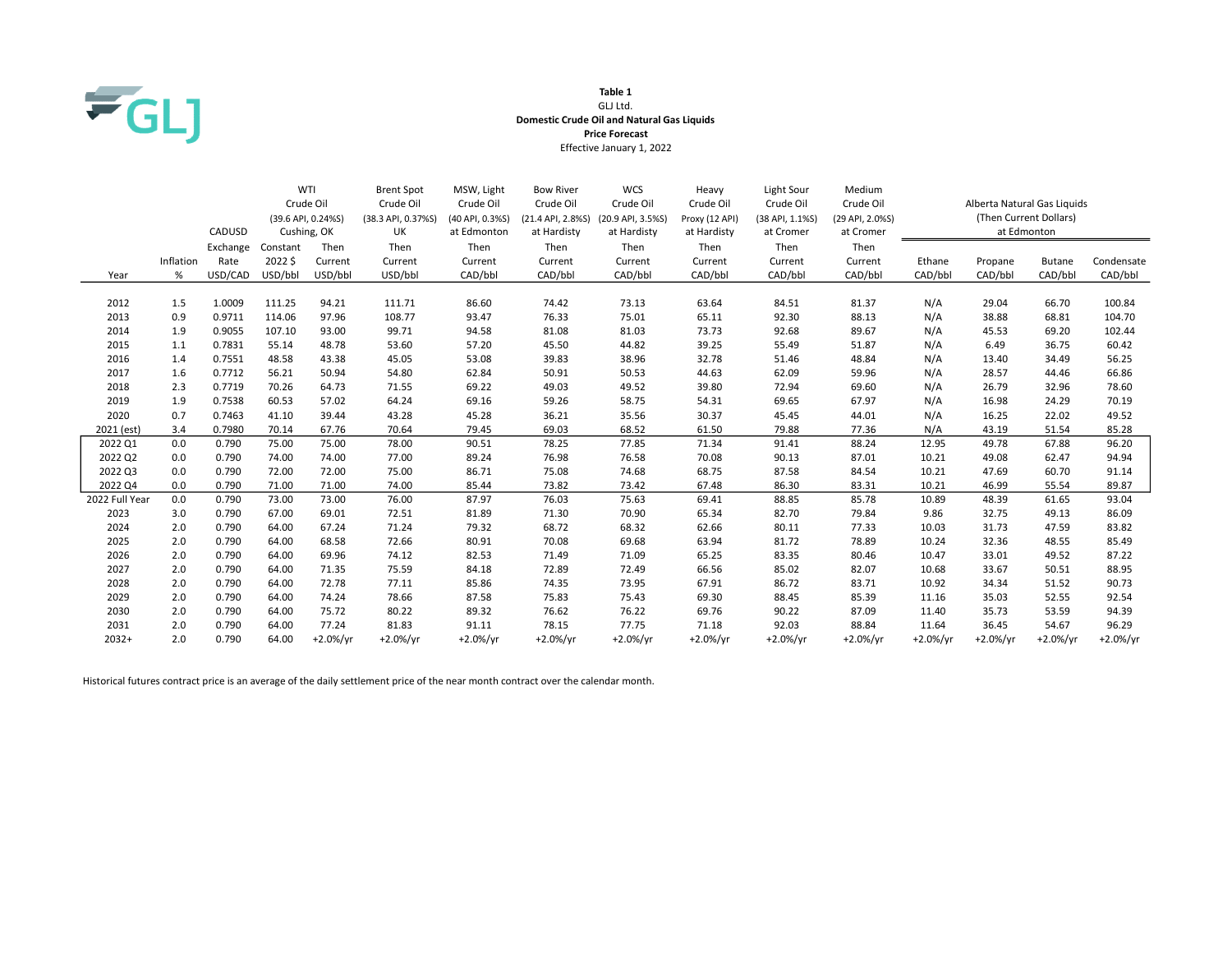

## Table 1 GLJ Ltd. Domestic Crude Oil and Natural Gas Liquids Price Forecast Effective January 1, 2022

|                |           |          |          | WTI                | <b>Brent Spot</b>  | MSW, Light      | <b>Bow River</b>  | <b>WCS</b>        | Heavy          | Light Sour      | Medium          |            |                             |               |            |
|----------------|-----------|----------|----------|--------------------|--------------------|-----------------|-------------------|-------------------|----------------|-----------------|-----------------|------------|-----------------------------|---------------|------------|
|                |           |          |          | Crude Oil          | Crude Oil          | Crude Oil       | Crude Oil         | Crude Oil         | Crude Oil      | Crude Oil       | Crude Oil       |            | Alberta Natural Gas Liquids |               |            |
|                |           |          |          | (39.6 API, 0.24%S) | (38.3 API, 0.37%S) | (40 API, 0.3%S) | (21.4 API, 2.8%S) | (20.9 API, 3.5%S) | Proxy (12 API) | (38 API, 1.1%S) | (29 API, 2.0%S) |            | (Then Current Dollars)      |               |            |
|                |           | CADUSD   |          | Cushing, OK        | UK                 | at Edmonton     | at Hardisty       | at Hardisty       | at Hardisty    | at Cromer       | at Cromer       |            | at Edmonton                 |               |            |
|                |           | Exchange | Constant | Then               | Then               | Then            | Then              | Then              | Then           | Then            | Then            |            |                             |               |            |
|                | Inflation | Rate     | 2022\$   | Current            | Current            | Current         | Current           | Current           | Current        | Current         | Current         | Ethane     | Propane                     | <b>Butane</b> | Condensate |
| Year           | $\%$      | USD/CAD  | USD/bbl  | USD/bbl            | USD/bbl            | CAD/bbl         | CAD/bbl           | CAD/bbl           | CAD/bbl        | CAD/bbl         | CAD/bbl         | CAD/bbl    | CAD/bbl                     | CAD/bbl       | CAD/bbl    |
|                |           |          |          |                    |                    |                 |                   |                   |                |                 |                 |            |                             |               |            |
| 2012           | 1.5       | 1.0009   | 111.25   | 94.21              | 111.71             | 86.60           | 74.42             | 73.13             | 63.64          | 84.51           | 81.37           | N/A        | 29.04                       | 66.70         | 100.84     |
| 2013           | 0.9       | 0.9711   | 114.06   | 97.96              | 108.77             | 93.47           | 76.33             | 75.01             | 65.11          | 92.30           | 88.13           | N/A        | 38.88                       | 68.81         | 104.70     |
| 2014           | 1.9       | 0.9055   | 107.10   | 93.00              | 99.71              | 94.58           | 81.08             | 81.03             | 73.73          | 92.68           | 89.67           | N/A        | 45.53                       | 69.20         | 102.44     |
| 2015           | 1.1       | 0.7831   | 55.14    | 48.78              | 53.60              | 57.20           | 45.50             | 44.82             | 39.25          | 55.49           | 51.87           | N/A        | 6.49                        | 36.75         | 60.42      |
| 2016           | 1.4       | 0.7551   | 48.58    | 43.38              | 45.05              | 53.08           | 39.83             | 38.96             | 32.78          | 51.46           | 48.84           | N/A        | 13.40                       | 34.49         | 56.25      |
| 2017           | 1.6       | 0.7712   | 56.21    | 50.94              | 54.80              | 62.84           | 50.91             | 50.53             | 44.63          | 62.09           | 59.96           | N/A        | 28.57                       | 44.46         | 66.86      |
| 2018           | 2.3       | 0.7719   | 70.26    | 64.73              | 71.55              | 69.22           | 49.03             | 49.52             | 39.80          | 72.94           | 69.60           | N/A        | 26.79                       | 32.96         | 78.60      |
| 2019           | 1.9       | 0.7538   | 60.53    | 57.02              | 64.24              | 69.16           | 59.26             | 58.75             | 54.31          | 69.65           | 67.97           | N/A        | 16.98                       | 24.29         | 70.19      |
| 2020           | 0.7       | 0.7463   | 41.10    | 39.44              | 43.28              | 45.28           | 36.21             | 35.56             | 30.37          | 45.45           | 44.01           | N/A        | 16.25                       | 22.02         | 49.52      |
| 2021 (est)     | 3.4       | 0.7980   | 70.14    | 67.76              | 70.64              | 79.45           | 69.03             | 68.52             | 61.50          | 79.88           | 77.36           | N/A        | 43.19                       | 51.54         | 85.28      |
| 2022 Q1        | 0.0       | 0.790    | 75.00    | 75.00              | 78.00              | 90.51           | 78.25             | 77.85             | 71.34          | 91.41           | 88.24           | 12.95      | 49.78                       | 67.88         | 96.20      |
| 2022 Q2        | 0.0       | 0.790    | 74.00    | 74.00              | 77.00              | 89.24           | 76.98             | 76.58             | 70.08          | 90.13           | 87.01           | 10.21      | 49.08                       | 62.47         | 94.94      |
| 2022 Q3        | 0.0       | 0.790    | 72.00    | 72.00              | 75.00              | 86.71           | 75.08             | 74.68             | 68.75          | 87.58           | 84.54           | 10.21      | 47.69                       | 60.70         | 91.14      |
| 2022 Q4        | 0.0       | 0.790    | 71.00    | 71.00              | 74.00              | 85.44           | 73.82             | 73.42             | 67.48          | 86.30           | 83.31           | 10.21      | 46.99                       | 55.54         | 89.87      |
| 2022 Full Year | 0.0       | 0.790    | 73.00    | 73.00              | 76.00              | 87.97           | 76.03             | 75.63             | 69.41          | 88.85           | 85.78           | 10.89      | 48.39                       | 61.65         | 93.04      |
| 2023           | 3.0       | 0.790    | 67.00    | 69.01              | 72.51              | 81.89           | 71.30             | 70.90             | 65.34          | 82.70           | 79.84           | 9.86       | 32.75                       | 49.13         | 86.09      |
| 2024           | 2.0       | 0.790    | 64.00    | 67.24              | 71.24              | 79.32           | 68.72             | 68.32             | 62.66          | 80.11           | 77.33           | 10.03      | 31.73                       | 47.59         | 83.82      |
| 2025           | 2.0       | 0.790    | 64.00    | 68.58              | 72.66              | 80.91           | 70.08             | 69.68             | 63.94          | 81.72           | 78.89           | 10.24      | 32.36                       | 48.55         | 85.49      |
| 2026           | 2.0       | 0.790    | 64.00    | 69.96              | 74.12              | 82.53           | 71.49             | 71.09             | 65.25          | 83.35           | 80.46           | 10.47      | 33.01                       | 49.52         | 87.22      |
| 2027           | 2.0       | 0.790    | 64.00    | 71.35              | 75.59              | 84.18           | 72.89             | 72.49             | 66.56          | 85.02           | 82.07           | 10.68      | 33.67                       | 50.51         | 88.95      |
| 2028           | 2.0       | 0.790    | 64.00    | 72.78              | 77.11              | 85.86           | 74.35             | 73.95             | 67.91          | 86.72           | 83.71           | 10.92      | 34.34                       | 51.52         | 90.73      |
| 2029           | 2.0       | 0.790    | 64.00    | 74.24              | 78.66              | 87.58           | 75.83             | 75.43             | 69.30          | 88.45           | 85.39           | 11.16      | 35.03                       | 52.55         | 92.54      |
| 2030           | 2.0       | 0.790    | 64.00    | 75.72              | 80.22              | 89.32           | 76.62             | 76.22             | 69.76          | 90.22           | 87.09           | 11.40      | 35.73                       | 53.59         | 94.39      |
| 2031           | 2.0       | 0.790    | 64.00    | 77.24              | 81.83              | 91.11           | 78.15             | 77.75             | 71.18          | 92.03           | 88.84           | 11.64      | 36.45                       | 54.67         | 96.29      |
| $2032+$        | 2.0       | 0.790    | 64.00    | $+2.0%/yr$         | $+2.0\%/yr$        | $+2.0\%/yr$     | $+2.0\%/yr$       | $+2.0%/yr$        | $+2.0\%/yr$    | $+2.0%/yr$      | $+2.0\%/yr$     | $+2.0%/yr$ | $+2.0%/vr$                  | $+2.0%/yr$    | $+2.0%/yr$ |

Historical futures contract price is an average of the daily settlement price of the near month contract over the calendar month.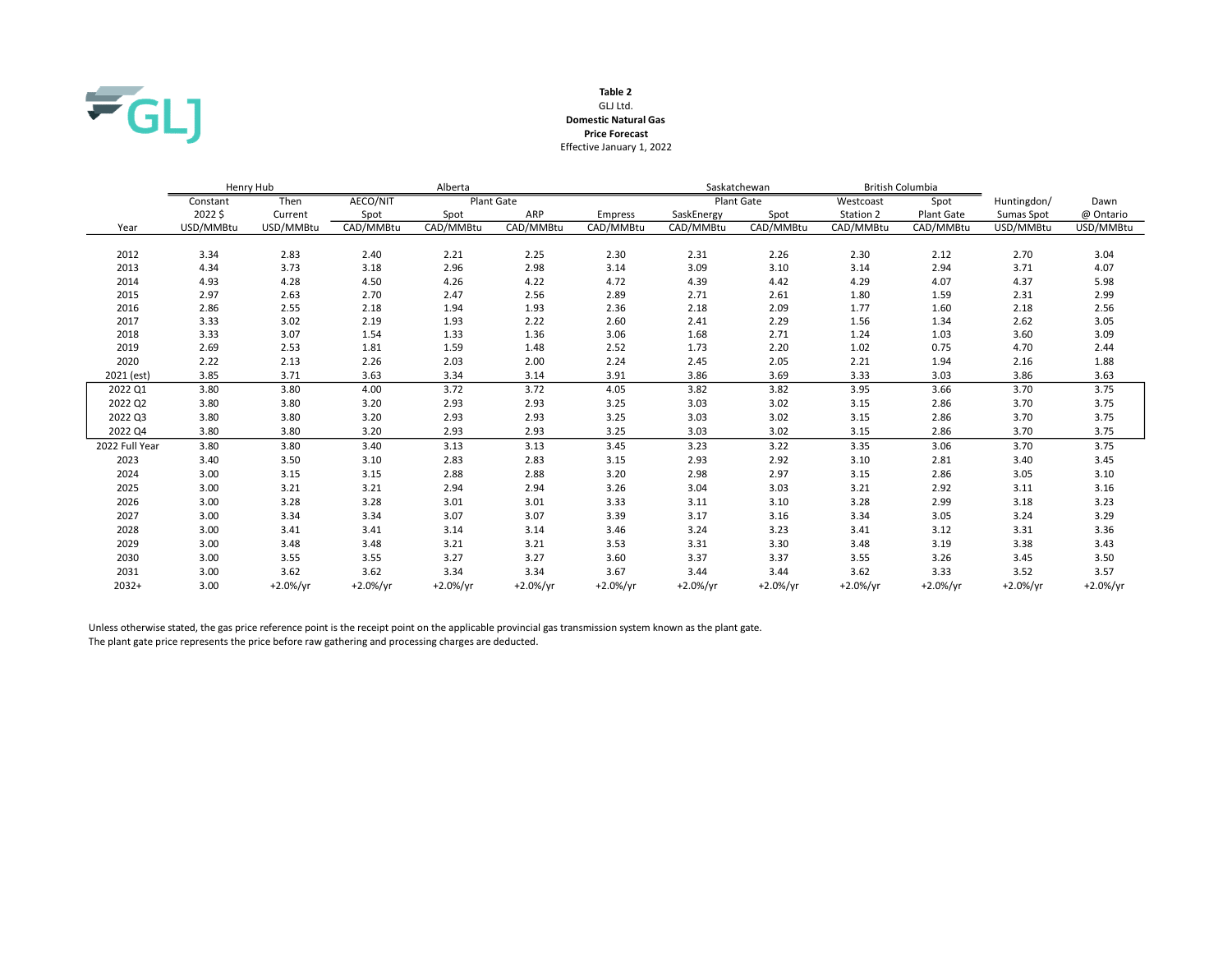

### GLJ Ltd. Table 2 Domestic Natural Gas Effective January 1, 2022 Price Forecast

|                | Henry Hub |             |             | Alberta     |                   |                |            | Saskatchewan      | British Columbia |                   |             |             |
|----------------|-----------|-------------|-------------|-------------|-------------------|----------------|------------|-------------------|------------------|-------------------|-------------|-------------|
|                | Constant  | Then        | AECO/NIT    |             | <b>Plant Gate</b> |                |            | <b>Plant Gate</b> | Westcoast        | Spot              | Huntingdon/ | Dawn        |
|                | 2022\$    | Current     | Spot        | Spot        | ARP               | <b>Empress</b> | SaskEnergy | Spot              | Station 2        | <b>Plant Gate</b> | Sumas Spot  | @ Ontario   |
| Year           | USD/MMBtu | USD/MMBtu   | CAD/MMBtu   | CAD/MMBtu   | CAD/MMBtu         | CAD/MMBtu      | CAD/MMBtu  | CAD/MMBtu         | CAD/MMBtu        | CAD/MMBtu         | USD/MMBtu   | USD/MMBtu   |
|                |           |             |             |             |                   |                |            |                   |                  |                   |             |             |
| 2012           | 3.34      | 2.83        | 2.40        | 2.21        | 2.25              | 2.30           | 2.31       | 2.26              | 2.30             | 2.12              | 2.70        | 3.04        |
| 2013           | 4.34      | 3.73        | 3.18        | 2.96        | 2.98              | 3.14           | 3.09       | 3.10              | 3.14             | 2.94              | 3.71        | 4.07        |
| 2014           | 4.93      | 4.28        | 4.50        | 4.26        | 4.22              | 4.72           | 4.39       | 4.42              | 4.29             | 4.07              | 4.37        | 5.98        |
| 2015           | 2.97      | 2.63        | 2.70        | 2.47        | 2.56              | 2.89           | 2.71       | 2.61              | 1.80             | 1.59              | 2.31        | 2.99        |
| 2016           | 2.86      | 2.55        | 2.18        | 1.94        | 1.93              | 2.36           | 2.18       | 2.09              | 1.77             | 1.60              | 2.18        | 2.56        |
| 2017           | 3.33      | 3.02        | 2.19        | 1.93        | 2.22              | 2.60           | 2.41       | 2.29              | 1.56             | 1.34              | 2.62        | 3.05        |
| 2018           | 3.33      | 3.07        | 1.54        | 1.33        | 1.36              | 3.06           | 1.68       | 2.71              | 1.24             | 1.03              | 3.60        | 3.09        |
| 2019           | 2.69      | 2.53        | 1.81        | 1.59        | 1.48              | 2.52           | 1.73       | 2.20              | 1.02             | 0.75              | 4.70        | 2.44        |
| 2020           | 2.22      | 2.13        | 2.26        | 2.03        | 2.00              | 2.24           | 2.45       | 2.05              | 2.21             | 1.94              | 2.16        | 1.88        |
| 2021 (est)     | 3.85      | 3.71        | 3.63        | 3.34        | 3.14              | 3.91           | 3.86       | 3.69              | 3.33             | 3.03              | 3.86        | 3.63        |
| 2022 Q1        | 3.80      | 3.80        | 4.00        | 3.72        | 3.72              | 4.05           | 3.82       | 3.82              | 3.95             | 3.66              | 3.70        | 3.75        |
| 2022 Q2        | 3.80      | 3.80        | 3.20        | 2.93        | 2.93              | 3.25           | 3.03       | 3.02              | 3.15             | 2.86              | 3.70        | 3.75        |
| 2022 Q3        | 3.80      | 3.80        | 3.20        | 2.93        | 2.93              | 3.25           | 3.03       | 3.02              | 3.15             | 2.86              | 3.70        | 3.75        |
| 2022 Q4        | 3.80      | 3.80        | 3.20        | 2.93        | 2.93              | 3.25           | 3.03       | 3.02              | 3.15             | 2.86              | 3.70        | 3.75        |
| 2022 Full Year | 3.80      | 3.80        | 3.40        | 3.13        | 3.13              | 3.45           | 3.23       | 3.22              | 3.35             | 3.06              | 3.70        | 3.75        |
| 2023           | 3.40      | 3.50        | 3.10        | 2.83        | 2.83              | 3.15           | 2.93       | 2.92              | 3.10             | 2.81              | 3.40        | 3.45        |
| 2024           | 3.00      | 3.15        | 3.15        | 2.88        | 2.88              | 3.20           | 2.98       | 2.97              | 3.15             | 2.86              | 3.05        | 3.10        |
| 2025           | 3.00      | 3.21        | 3.21        | 2.94        | 2.94              | 3.26           | 3.04       | 3.03              | 3.21             | 2.92              | 3.11        | 3.16        |
| 2026           | 3.00      | 3.28        | 3.28        | 3.01        | 3.01              | 3.33           | 3.11       | 3.10              | 3.28             | 2.99              | 3.18        | 3.23        |
| 2027           | 3.00      | 3.34        | 3.34        | 3.07        | 3.07              | 3.39           | 3.17       | 3.16              | 3.34             | 3.05              | 3.24        | 3.29        |
| 2028           | 3.00      | 3.41        | 3.41        | 3.14        | 3.14              | 3.46           | 3.24       | 3.23              | 3.41             | 3.12              | 3.31        | 3.36        |
| 2029           | 3.00      | 3.48        | 3.48        | 3.21        | 3.21              | 3.53           | 3.31       | 3.30              | 3.48             | 3.19              | 3.38        | 3.43        |
| 2030           | 3.00      | 3.55        | 3.55        | 3.27        | 3.27              | 3.60           | 3.37       | 3.37              | 3.55             | 3.26              | 3.45        | 3.50        |
| 2031           | 3.00      | 3.62        | 3.62        | 3.34        | 3.34              | 3.67           | 3.44       | 3.44              | 3.62             | 3.33              | 3.52        | 3.57        |
| $2032+$        | 3.00      | $+2.0\%/yr$ | $+2.0\%/yr$ | $+2.0\%/yr$ | $+2.0\%/yr$       | $+2.0\%/yr$    | $+2.0%/yr$ | $+2.0\%/yr$       | $+2.0\%/yr$      | $+2.0%/yr$        | $+2.0%/yr$  | $+2.0\%/yr$ |

Unless otherwise stated, the gas price reference point is the receipt point on the applicable provincial gas transmission system known as the plant gate. The plant gate price represents the price before raw gathering and processing charges are deducted.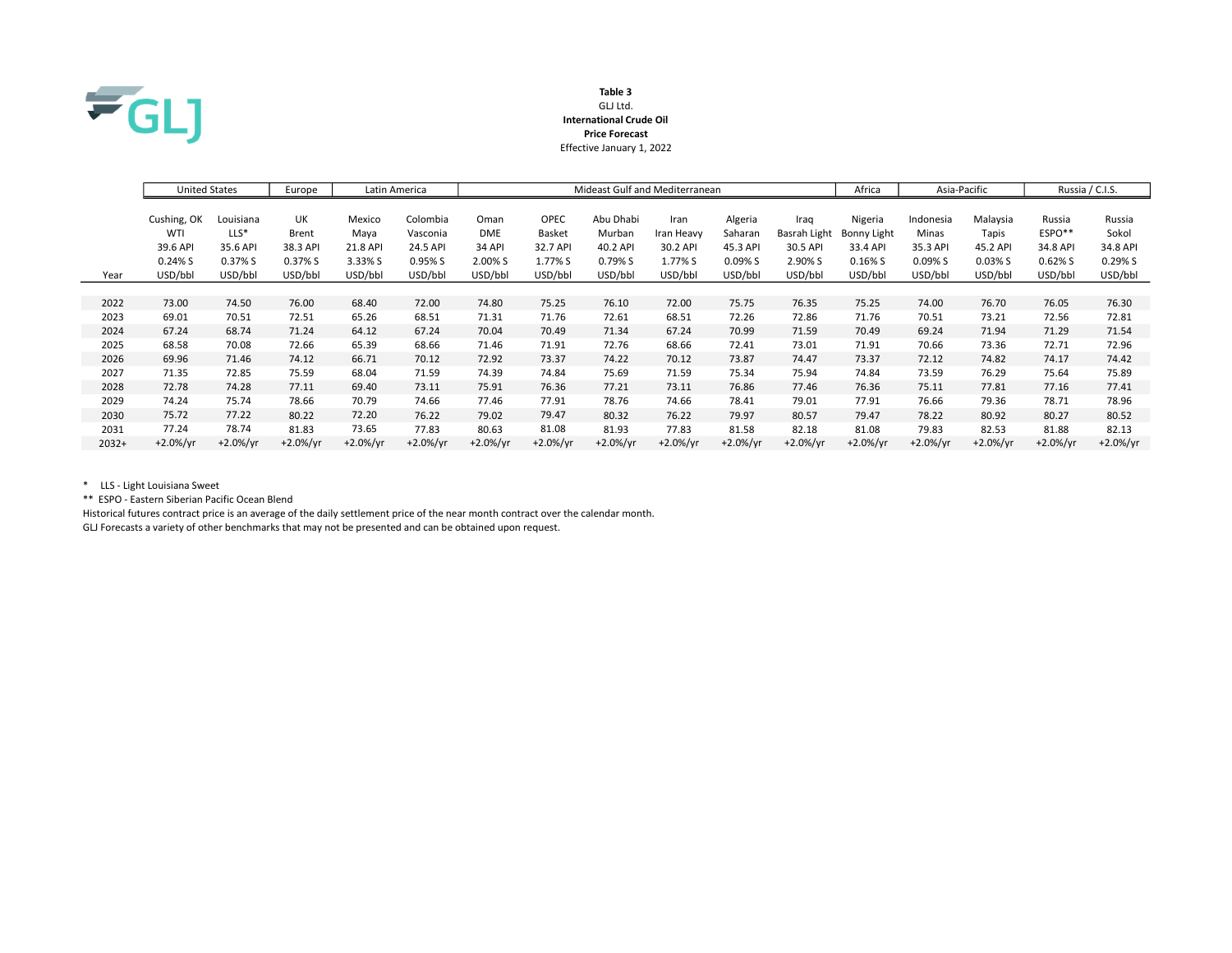

### Table 3 GLJ Ltd. International Crude Oil Price Forecast Effective January 1, 2022

|         | <b>United States</b> |             | Europe       |             | Latin America | Mideast Gulf and Mediterranean |             |            |            |            |              | Africa      | Asia-Pacific |            | Russia / C.I.S. |             |
|---------|----------------------|-------------|--------------|-------------|---------------|--------------------------------|-------------|------------|------------|------------|--------------|-------------|--------------|------------|-----------------|-------------|
|         | Cushing, OK          | Louisiana   | UK           | Mexico      | Colombia      | Oman                           | <b>OPEC</b> | Abu Dhabi  | Iran       | Algeria    | Iraq         | Nigeria     | Indonesia    | Malaysia   | Russia          | Russia      |
|         | WTI                  | $LLS^*$     | <b>Brent</b> | Maya        | Vasconia      | <b>DME</b>                     | Basket      | Murban     | Iran Heavy | Saharan    | Basrah Light | Bonny Light | Minas        | Tapis      | $ESPO**$        | Sokol       |
|         | 39.6 API             | 35.6 API    | 38.3 API     | 21.8 API    | 24.5 API      | <b>34 API</b>                  | 32.7 API    | 40.2 API   | 30.2 API   | 45.3 API   | 30.5 API     | 33.4 API    | 35.3 API     | 45.2 API   | 34.8 API        | 34.8 API    |
|         | 0.24%S               | 0.37% S     | 0.37% S      | 3.33% S     | 0.95% S       | 2.00% S                        | 1.77% S     | 0.79% S    | 1.77% S    | 0.09%S     | 2.90% S      | $0.16\%$ S  | 0.09% S      | $0.03\%$ S | 0.62%S          | 0.29%S      |
| Year    | USD/bbl              | USD/bbl     | USD/bbl      | USD/bbl     | USD/bbl       | USD/bbl                        | USD/bbl     | USD/bbl    | USD/bbl    | USD/bbl    | USD/bbl      | USD/bbl     | USD/bbl      | USD/bbl    | USD/bbl         | USD/bbl     |
|         |                      |             |              |             |               |                                |             |            |            |            |              |             |              |            |                 |             |
| 2022    | 73.00                | 74.50       | 76.00        | 68.40       | 72.00         | 74.80                          | 75.25       | 76.10      | 72.00      | 75.75      | 76.35        | 75.25       | 74.00        | 76.70      | 76.05           | 76.30       |
| 2023    | 69.01                | 70.51       | 72.51        | 65.26       | 68.51         | 71.31                          | 71.76       | 72.61      | 68.51      | 72.26      | 72.86        | 71.76       | 70.51        | 73.21      | 72.56           | 72.81       |
| 2024    | 67.24                | 68.74       | 71.24        | 64.12       | 67.24         | 70.04                          | 70.49       | 71.34      | 67.24      | 70.99      | 71.59        | 70.49       | 69.24        | 71.94      | 71.29           | 71.54       |
| 2025    | 68.58                | 70.08       | 72.66        | 65.39       | 68.66         | 71.46                          | 71.91       | 72.76      | 68.66      | 72.41      | 73.01        | 71.91       | 70.66        | 73.36      | 72.71           | 72.96       |
| 2026    | 69.96                | 71.46       | 74.12        | 66.71       | 70.12         | 72.92                          | 73.37       | 74.22      | 70.12      | 73.87      | 74.47        | 73.37       | 72.12        | 74.82      | 74.17           | 74.42       |
| 2027    | 71.35                | 72.85       | 75.59        | 68.04       | 71.59         | 74.39                          | 74.84       | 75.69      | 71.59      | 75.34      | 75.94        | 74.84       | 73.59        | 76.29      | 75.64           | 75.89       |
| 2028    | 72.78                | 74.28       | 77.11        | 69.40       | 73.11         | 75.91                          | 76.36       | 77.21      | 73.11      | 76.86      | 77.46        | 76.36       | 75.11        | 77.81      | 77.16           | 77.41       |
| 2029    | 74.24                | 75.74       | 78.66        | 70.79       | 74.66         | 77.46                          | 77.91       | 78.76      | 74.66      | 78.41      | 79.01        | 77.91       | 76.66        | 79.36      | 78.71           | 78.96       |
| 2030    | 75.72                | 77.22       | 80.22        | 72.20       | 76.22         | 79.02                          | 79.47       | 80.32      | 76.22      | 79.97      | 80.57        | 79.47       | 78.22        | 80.92      | 80.27           | 80.52       |
| 2031    | 77.24                | 78.74       | 81.83        | 73.65       | 77.83         | 80.63                          | 81.08       | 81.93      | 77.83      | 81.58      | 82.18        | 81.08       | 79.83        | 82.53      | 81.88           | 82.13       |
| $2032+$ | $+2.0\%/yr$          | $+2.0\%/yr$ | $+2.0\%/yr$  | $+2.0\%/yr$ | $+2.0%/yr$    | $+2.0%/yr$                     | $+2.0%/yr$  | $+2.0%/yr$ | $+2.0%/yr$ | $+2.0%/yr$ | $+2.0%/yr$   | $+2.0%/yr$  | $+2.0%/yr$   | $+2.0%/vr$ | $+2.0\%/yr$     | $+2.0\%/yr$ |

\* LLS - Light Louisiana Sweet

\*\* ESPO - Eastern Siberian Pacific Ocean Blend

Historical futures contract price is an average of the daily settlement price of the near month contract over the calendar month. GLJ Forecasts a variety of other benchmarks that may not be presented and can be obtained upon request.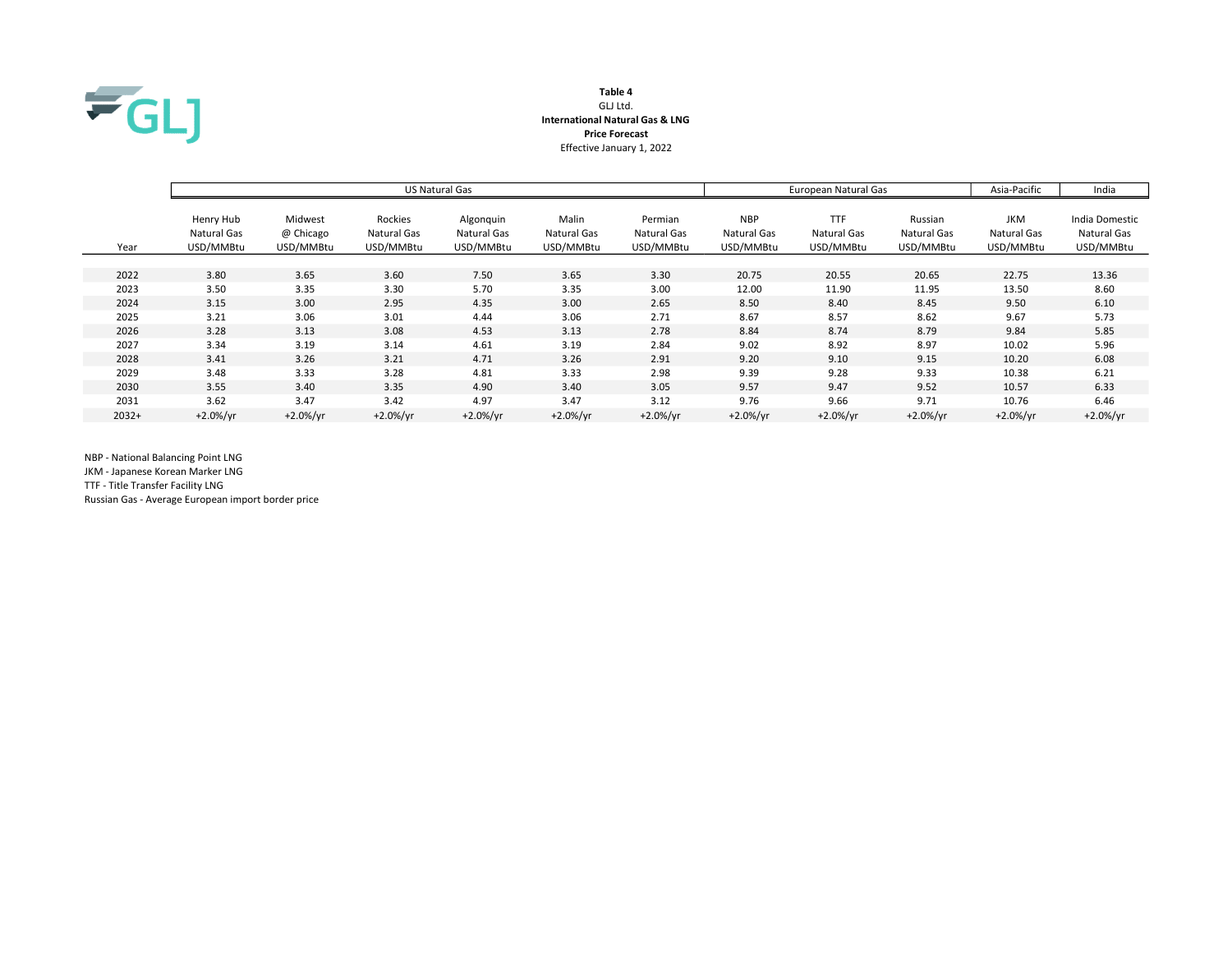

# Table 4 GLJ Ltd. International Natural Gas & LNG Price Forecast Effective January 1, 2022

|         |                                       |                                   |                                     | US Natural Gas                        |                                   | European Natural Gas                | Asia-Pacific                           | India                                  |                                     |                                        |                                            |
|---------|---------------------------------------|-----------------------------------|-------------------------------------|---------------------------------------|-----------------------------------|-------------------------------------|----------------------------------------|----------------------------------------|-------------------------------------|----------------------------------------|--------------------------------------------|
| Year    | Henry Hub<br>Natural Gas<br>USD/MMBtu | Midwest<br>@ Chicago<br>USD/MMBtu | Rockies<br>Natural Gas<br>USD/MMBtu | Algonquin<br>Natural Gas<br>USD/MMBtu | Malin<br>Natural Gas<br>USD/MMBtu | Permian<br>Natural Gas<br>USD/MMBtu | <b>NBP</b><br>Natural Gas<br>USD/MMBtu | <b>TTF</b><br>Natural Gas<br>USD/MMBtu | Russian<br>Natural Gas<br>USD/MMBtu | <b>JKM</b><br>Natural Gas<br>USD/MMBtu | India Domestic<br>Natural Gas<br>USD/MMBtu |
|         |                                       |                                   |                                     |                                       |                                   |                                     |                                        |                                        |                                     |                                        |                                            |
| 2022    | 3.80                                  | 3.65                              | 3.60                                | 7.50                                  | 3.65                              | 3.30                                | 20.75                                  | 20.55                                  | 20.65                               | 22.75                                  | 13.36                                      |
| 2023    | 3.50                                  | 3.35                              | 3.30                                | 5.70                                  | 3.35                              | 3.00                                | 12.00                                  | 11.90                                  | 11.95                               | 13.50                                  | 8.60                                       |
| 2024    | 3.15                                  | 3.00                              | 2.95                                | 4.35                                  | 3.00                              | 2.65                                | 8.50                                   | 8.40                                   | 8.45                                | 9.50                                   | 6.10                                       |
| 2025    | 3.21                                  | 3.06                              | 3.01                                | 4.44                                  | 3.06                              | 2.71                                | 8.67                                   | 8.57                                   | 8.62                                | 9.67                                   | 5.73                                       |
| 2026    | 3.28                                  | 3.13                              | 3.08                                | 4.53                                  | 3.13                              | 2.78                                | 8.84                                   | 8.74                                   | 8.79                                | 9.84                                   | 5.85                                       |
| 2027    | 3.34                                  | 3.19                              | 3.14                                | 4.61                                  | 3.19                              | 2.84                                | 9.02                                   | 8.92                                   | 8.97                                | 10.02                                  | 5.96                                       |
| 2028    | 3.41                                  | 3.26                              | 3.21                                | 4.71                                  | 3.26                              | 2.91                                | 9.20                                   | 9.10                                   | 9.15                                | 10.20                                  | 6.08                                       |
| 2029    | 3.48                                  | 3.33                              | 3.28                                | 4.81                                  | 3.33                              | 2.98                                | 9.39                                   | 9.28                                   | 9.33                                | 10.38                                  | 6.21                                       |
| 2030    | 3.55                                  | 3.40                              | 3.35                                | 4.90                                  | 3.40                              | 3.05                                | 9.57                                   | 9.47                                   | 9.52                                | 10.57                                  | 6.33                                       |
| 2031    | 3.62                                  | 3.47                              | 3.42                                | 4.97                                  | 3.47                              | 3.12                                | 9.76                                   | 9.66                                   | 9.71                                | 10.76                                  | 6.46                                       |
| $2032+$ | $+2.0%/yr$                            | $+2.0%/yr$                        | $+2.0%/yr$                          | $+2.0\%/yr$                           | $+2.0\%/yr$                       | $+2.0%/yr$                          | $+2.0\%/yr$                            | $+2.0\%/yr$                            | $+2.0%/vr$                          | $+2.0\%/yr$                            | $+2.0%/yr$                                 |

NBP - National Balancing Point LNG

JKM - Japanese Korean Marker LNG

TTF - Title Transfer Facility LNG

Russian Gas - Average European import border price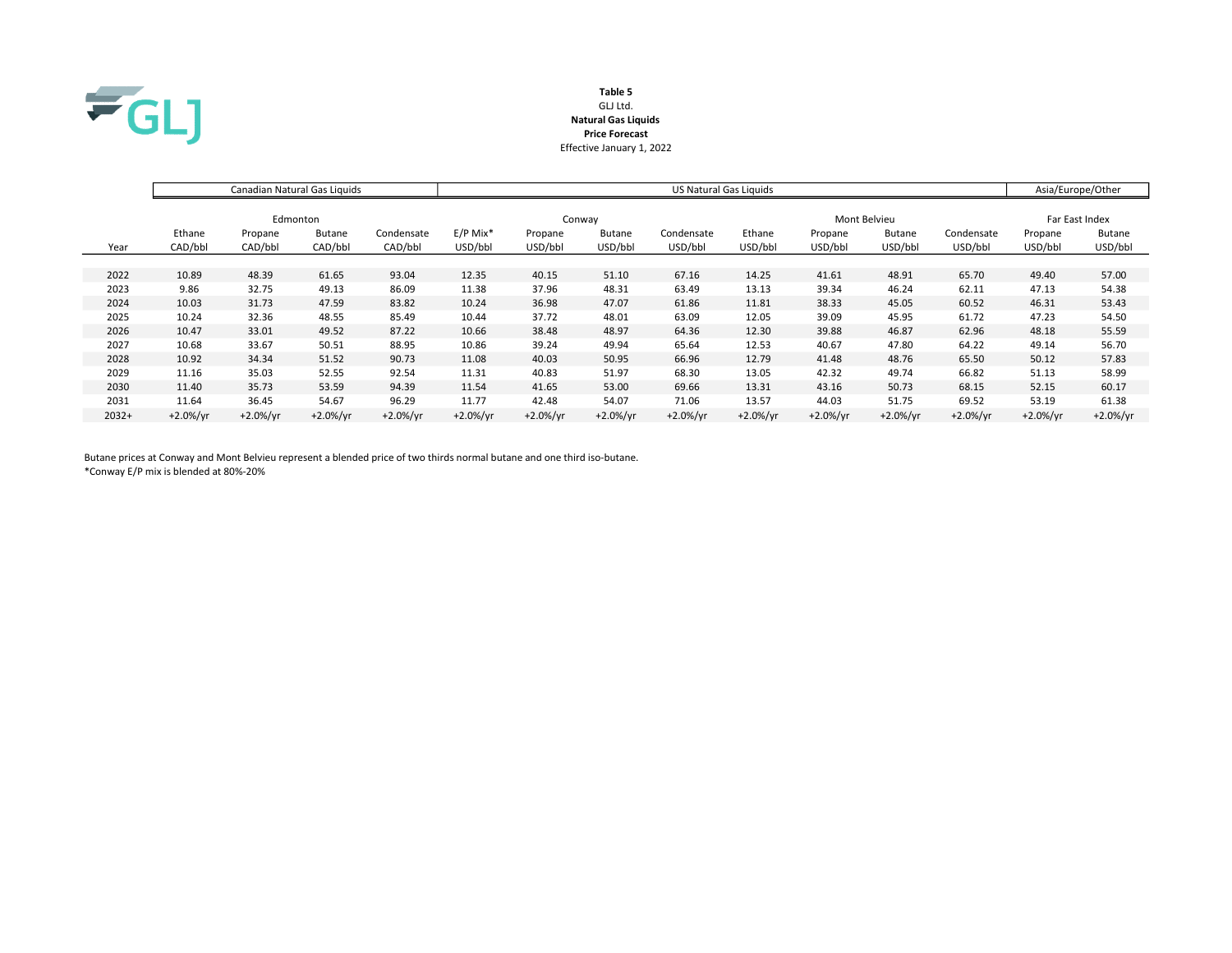

# Table 5 GLJ Ltd. Natural Gas Liquids Price Forecast Effective January 1, 2022

|         |             | Canadian Natural Gas Liquids |               |            | <b>US Natural Gas Liquids</b> |             |               |             |              |             |               |             |                | Asia/Europe/Other |  |
|---------|-------------|------------------------------|---------------|------------|-------------------------------|-------------|---------------|-------------|--------------|-------------|---------------|-------------|----------------|-------------------|--|
|         |             |                              |               |            |                               |             |               |             |              |             |               |             |                |                   |  |
|         | Edmonton    |                              |               |            |                               | Conway      |               |             | Mont Belvieu |             |               |             | Far East Index |                   |  |
|         | Ethane      | Propane                      | <b>Butane</b> | Condensate | $E/P$ Mix <sup>*</sup>        | Propane     | <b>Butane</b> | Condensate  | Ethane       | Propane     | <b>Butane</b> | Condensate  | Propane        | <b>Butane</b>     |  |
| Year    | CAD/bbl     | CAD/bbl                      | CAD/bbl       | CAD/bbl    | USD/bbl                       | USD/bbl     | USD/bbl       | USD/bbl     | USD/bbl      | USD/bbl     | USD/bbl       | USD/bbl     | USD/bbl        | USD/bbl           |  |
|         |             |                              |               |            |                               |             |               |             |              |             |               |             |                |                   |  |
| 2022    | 10.89       | 48.39                        | 61.65         | 93.04      | 12.35                         | 40.15       | 51.10         | 67.16       | 14.25        | 41.61       | 48.91         | 65.70       | 49.40          | 57.00             |  |
| 2023    | 9.86        | 32.75                        | 49.13         | 86.09      | 11.38                         | 37.96       | 48.31         | 63.49       | 13.13        | 39.34       | 46.24         | 62.11       | 47.13          | 54.38             |  |
| 2024    | 10.03       | 31.73                        | 47.59         | 83.82      | 10.24                         | 36.98       | 47.07         | 61.86       | 11.81        | 38.33       | 45.05         | 60.52       | 46.31          | 53.43             |  |
| 2025    | 10.24       | 32.36                        | 48.55         | 85.49      | 10.44                         | 37.72       | 48.01         | 63.09       | 12.05        | 39.09       | 45.95         | 61.72       | 47.23          | 54.50             |  |
| 2026    | 10.47       | 33.01                        | 49.52         | 87.22      | 10.66                         | 38.48       | 48.97         | 64.36       | 12.30        | 39.88       | 46.87         | 62.96       | 48.18          | 55.59             |  |
| 2027    | 10.68       | 33.67                        | 50.51         | 88.95      | 10.86                         | 39.24       | 49.94         | 65.64       | 12.53        | 40.67       | 47.80         | 64.22       | 49.14          | 56.70             |  |
| 2028    | 10.92       | 34.34                        | 51.52         | 90.73      | 11.08                         | 40.03       | 50.95         | 66.96       | 12.79        | 41.48       | 48.76         | 65.50       | 50.12          | 57.83             |  |
| 2029    | 11.16       | 35.03                        | 52.55         | 92.54      | 11.31                         | 40.83       | 51.97         | 68.30       | 13.05        | 42.32       | 49.74         | 66.82       | 51.13          | 58.99             |  |
| 2030    | 11.40       | 35.73                        | 53.59         | 94.39      | 11.54                         | 41.65       | 53.00         | 69.66       | 13.31        | 43.16       | 50.73         | 68.15       | 52.15          | 60.17             |  |
| 2031    | 11.64       | 36.45                        | 54.67         | 96.29      | 11.77                         | 42.48       | 54.07         | 71.06       | 13.57        | 44.03       | 51.75         | 69.52       | 53.19          | 61.38             |  |
| $2032+$ | $+2.0\%/yr$ | $+2.0%/yr$                   | $+2.0%/yr$    | $+2.0%/yr$ | $+2.0%/yr$                    | $+2.0\%/yr$ | $+2.0\%/yr$   | $+2.0\%/yr$ | $+2.0\%/yr$  | $+2.0\%/yr$ | $+2.0%/yr$    | $+2.0\%/yr$ | $+2.0%/yr$     | $+2.0\%/yr$       |  |

Butane prices at Conway and Mont Belvieu represent a blended price of two thirds normal butane and one third iso-butane. \*Conway E/P mix is blended at 80%-20%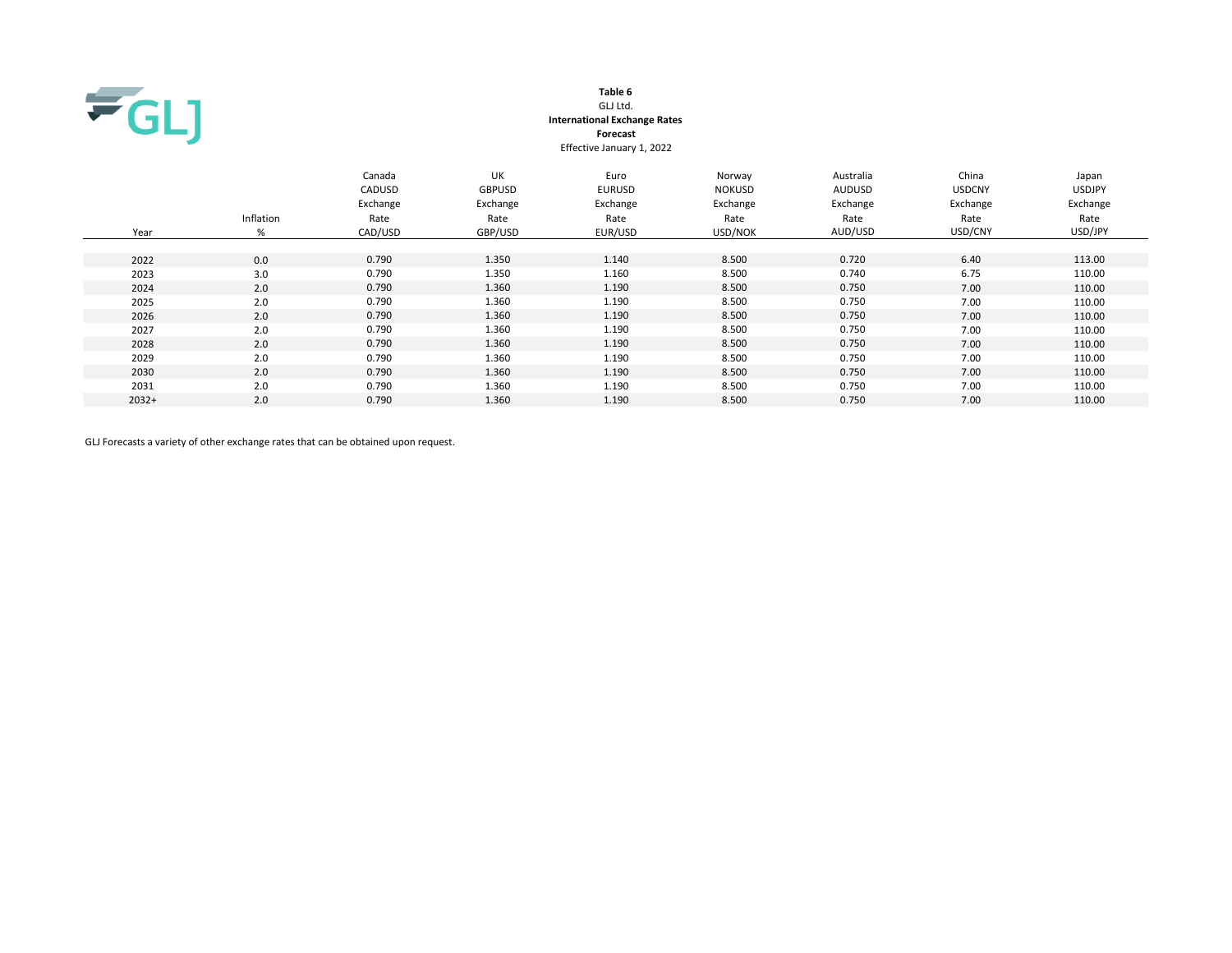

## Table 6 GLJ Ltd. International Exchange Rates Forecast Effective January 1, 2022

| Year    | Inflation<br>% | Canada<br>CADUSD<br>Exchange<br>Rate<br>CAD/USD | <b>UK</b><br><b>GBPUSD</b><br>Exchange<br>Rate<br>GBP/USD | Euro<br><b>EURUSD</b><br>Exchange<br>Rate<br>EUR/USD | Norway<br><b>NOKUSD</b><br>Exchange<br>Rate<br>USD/NOK | Australia<br><b>AUDUSD</b><br>Exchange<br>Rate<br>AUD/USD | China<br><b>USDCNY</b><br>Exchange<br>Rate<br>USD/CNY | Japan<br><b>USDJPY</b><br>Exchange<br>Rate<br>USD/JPY |
|---------|----------------|-------------------------------------------------|-----------------------------------------------------------|------------------------------------------------------|--------------------------------------------------------|-----------------------------------------------------------|-------------------------------------------------------|-------------------------------------------------------|
| 2022    | 0.0            | 0.790                                           | 1.350                                                     | 1.140                                                | 8.500                                                  | 0.720                                                     | 6.40                                                  | 113.00                                                |
| 2023    | 3.0            | 0.790                                           | 1.350                                                     | 1.160                                                | 8.500                                                  | 0.740                                                     | 6.75                                                  | 110.00                                                |
| 2024    | 2.0            | 0.790                                           | 1.360                                                     | 1.190                                                | 8.500                                                  | 0.750                                                     | 7.00                                                  | 110.00                                                |
| 2025    | 2.0            | 0.790                                           | 1.360                                                     | 1.190                                                | 8.500                                                  | 0.750                                                     | 7.00                                                  | 110.00                                                |
| 2026    | 2.0            | 0.790                                           | 1.360                                                     | 1.190                                                | 8.500                                                  | 0.750                                                     | 7.00                                                  | 110.00                                                |
| 2027    | 2.0            | 0.790                                           | 1.360                                                     | 1.190                                                | 8.500                                                  | 0.750                                                     | 7.00                                                  | 110.00                                                |
| 2028    | 2.0            | 0.790                                           | 1.360                                                     | 1.190                                                | 8.500                                                  | 0.750                                                     | 7.00                                                  | 110.00                                                |
| 2029    | 2.0            | 0.790                                           | 1.360                                                     | 1.190                                                | 8.500                                                  | 0.750                                                     | 7.00                                                  | 110.00                                                |
| 2030    | 2.0            | 0.790                                           | 1.360                                                     | 1.190                                                | 8.500                                                  | 0.750                                                     | 7.00                                                  | 110.00                                                |
| 2031    | 2.0            | 0.790                                           | 1.360                                                     | 1.190                                                | 8.500                                                  | 0.750                                                     | 7.00                                                  | 110.00                                                |
| $2032+$ | 2.0            | 0.790                                           | 1.360                                                     | 1.190                                                | 8.500                                                  | 0.750                                                     | 7.00                                                  | 110.00                                                |

GLJ Forecasts a variety of other exchange rates that can be obtained upon request.